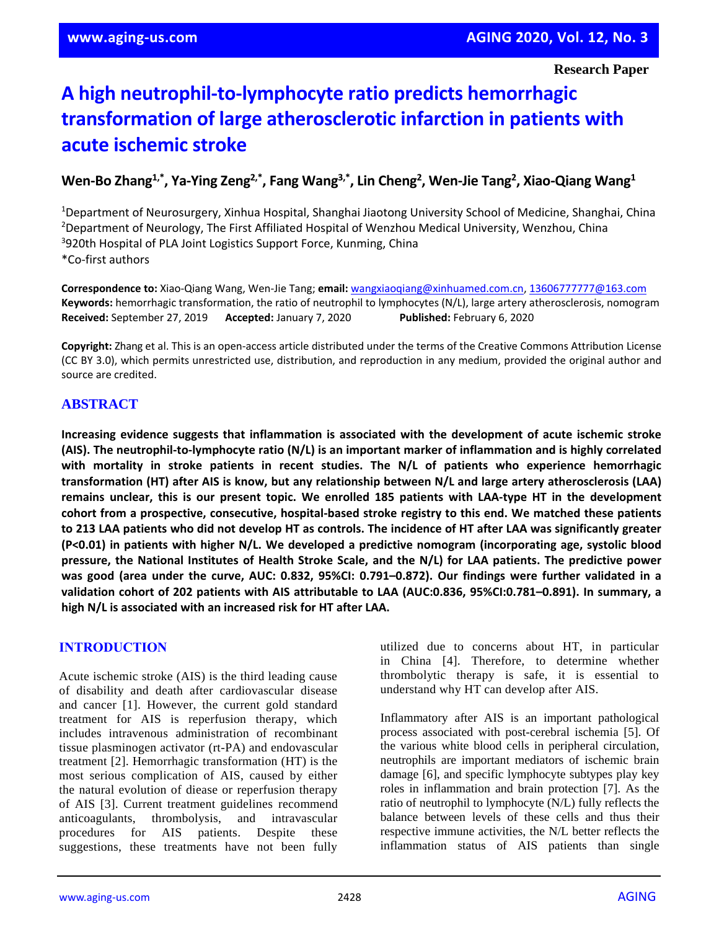**Research Paper**

# **A high neutrophil-to-lymphocyte ratio predicts hemorrhagic transformation of large atherosclerotic infarction in patients with acute ischemic stroke**

**Wen-Bo Zhang1,\*, Ya-Ying Zeng2,\*, Fang Wang3,\*, Lin Cheng<sup>2</sup> , Wen-Jie Tang<sup>2</sup> , Xiao-Qiang Wang<sup>1</sup>**

<sup>1</sup>Department of Neurosurgery, Xinhua Hospital, Shanghai Jiaotong University School of Medicine, Shanghai, China <sup>2</sup>Department of Neurology, The First Affiliated Hospital of Wenzhou Medical University, Wenzhou, China <sup>3</sup>920th Hospital of PLA Joint Logistics Support Force, Kunming, China \*Co-first authors

**Correspondence to:** Xiao-Qiang Wang, Wen-Jie Tang; **email:** [wangxiaoqiang@xinhuamed.com.cn,](mailto:wangxiaoqiang@xinhuamed.com.cn) [13606777777@163.com](mailto:13606777777@163.com) **Keywords:** hemorrhagic transformation, the ratio of neutrophil to lymphocytes (N/L), large artery atherosclerosis, nomogram **Received:** September 27, 2019 **Accepted:** January 7, 2020 **Published:** February 6, 2020

**Copyright:** Zhang et al. This is an open-access article distributed under the terms of the Creative Commons Attribution License (CC BY 3.0), which permits unrestricted use, distribution, and reproduction in any medium, provided the original author and source are credited.

# **ABSTRACT**

**Increasing evidence suggests that inflammation is associated with the development of acute ischemic stroke (AIS). The neutrophil-to-lymphocyte ratio (N/L) is an important marker of inflammation and is highly correlated with mortality in stroke patients in recent studies. The N/L of patients who experience hemorrhagic transformation (HT) after AIS is know, but any relationship between N/L and large artery atherosclerosis (LAA) remains unclear, this is our present topic. We enrolled 185 patients with LAA-type HT in the development cohort from a prospective, consecutive, hospital-based stroke registry to this end. We matched these patients** to 213 LAA patients who did not develop HT as controls. The incidence of HT after LAA was significantly greater **(P<0.01) in patients with higher N/L. We developed a predictive nomogram (incorporating age, systolic blood** pressure, the National Institutes of Health Stroke Scale, and the N/L) for LAA patients. The predictive power was good (area under the curve, AUC: 0.832, 95%CI: 0.791-0.872). Our findings were further validated in a validation cohort of 202 patients with AIS attributable to LAA (AUC:0.836, 95%CI:0.781-0.891). In summary, a **high N/L is associated with an increased risk for HT after LAA.**

## **INTRODUCTION**

Acute ischemic stroke (AIS) is the third leading cause of disability and death after cardiovascular disease and cancer [1]. However, the current gold standard treatment for AIS is reperfusion therapy, which includes intravenous administration of recombinant tissue plasminogen activator (rt-PA) and endovascular treatment [2]. Hemorrhagic transformation (HT) is the most serious complication of AIS, caused by either the natural evolution of diease or reperfusion therapy of AIS [3]. Current treatment guidelines recommend anticoagulants, thrombolysis, and intravascular procedures for AIS patients. Despite these suggestions, these treatments have not been fully

utilized due to concerns about HT, in particular in China [4]. Therefore, to determine whether thrombolytic therapy is safe, it is essential to understand why HT can develop after AIS.

Inflammatory after AIS is an important pathological process associated with post-cerebral ischemia [5]. Of the various white blood cells in peripheral circulation, neutrophils are important mediators of ischemic brain damage [6], and specific lymphocyte subtypes play key roles in inflammation and brain protection [7]. As the ratio of neutrophil to lymphocyte (N/L) fully reflects the balance between levels of these cells and thus their respective immune activities, the N/L better reflects the inflammation status of AIS patients than single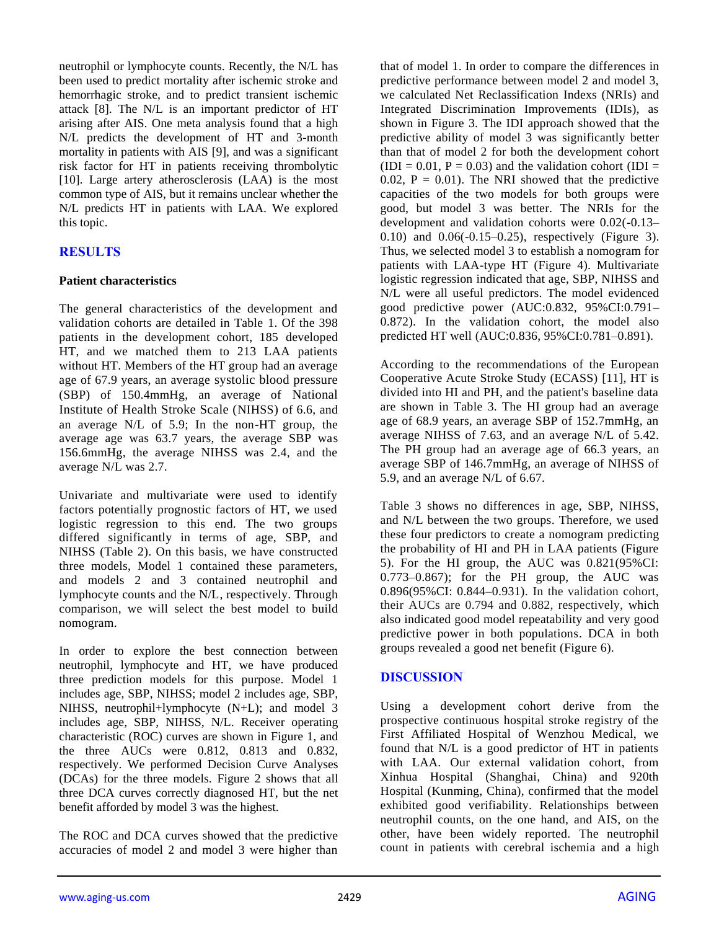neutrophil or lymphocyte counts. Recently, the N/L has been used to predict mortality after ischemic stroke and hemorrhagic stroke, and to predict transient ischemic attack [8]. The N/L is an important predictor of HT arising after AIS. One meta analysis found that a high N/L predicts the development of HT and 3-month mortality in patients with AIS [9], and was a significant risk factor for HT in patients receiving thrombolytic [10]. Large artery atherosclerosis (LAA) is the most common type of AIS, but it remains unclear whether the N/L predicts HT in patients with LAA. We explored this topic.

# **RESULTS**

#### **Patient characteristics**

The general characteristics of the development and validation cohorts are detailed in Table 1. Of the 398 patients in the development cohort, 185 developed HT, and we matched them to 213 LAA patients without HT. Members of the HT group had an average age of 67.9 years, an average systolic blood pressure (SBP) of 150.4mmHg, an average of National Institute of Health Stroke Scale (NIHSS) of 6.6, and an average N/L of 5.9; In the non-HT group, the average age was 63.7 years, the average SBP was 156.6mmHg, the average NIHSS was 2.4, and the average N/L was 2.7.

Univariate and multivariate were used to identify factors potentially prognostic factors of HT, we used logistic regression to this end. The two groups differed significantly in terms of age, SBP, and NIHSS (Table 2). On this basis, we have constructed three models, Model 1 contained these parameters, and models 2 and 3 contained neutrophil and lymphocyte counts and the N/L, respectively. Through comparison, we will select the best model to build nomogram.

In order to explore the best connection between neutrophil, lymphocyte and HT, we have produced three prediction models for this purpose. Model 1 includes age, SBP, NIHSS; model 2 includes age, SBP, NIHSS, neutrophil+lymphocyte (N+L); and model 3 includes age, SBP, NIHSS, N/L. Receiver operating characteristic (ROC) curves are shown in Figure 1, and the three AUCs were 0.812, 0.813 and 0.832, respectively. We performed Decision Curve Analyses (DCAs) for the three models. Figure 2 shows that all three DCA curves correctly diagnosed HT, but the net benefit afforded by model 3 was the highest.

The ROC and DCA curves showed that the predictive accuracies of model 2 and model 3 were higher than

that of model 1. In order to compare the differences in predictive performance between model 2 and model 3, we calculated Net Reclassification Indexs (NRIs) and Integrated Discrimination Improvements (IDIs), as shown in Figure 3. The IDI approach showed that the predictive ability of model 3 was significantly better than that of model 2 for both the development cohort  $(IDI = 0.01, P = 0.03)$  and the validation cohort  $(ID] =$ 0.02,  $P = 0.01$ ). The NRI showed that the predictive capacities of the two models for both groups were good, but model 3 was better. The NRIs for the development and validation cohorts were 0.02(-0.13– 0.10) and 0.06(-0.15–0.25), respectively (Figure 3). Thus, we selected model 3 to establish a nomogram for patients with LAA-type HT (Figure 4). Multivariate logistic regression indicated that age, SBP, NIHSS and N/L were all useful predictors. The model evidenced good predictive power (AUC:0.832, 95%CI:0.791– 0.872). In the validation cohort, the model also predicted HT well (AUC:0.836, 95%CI:0.781–0.891).

According to the recommendations of the European Cooperative Acute Stroke Study (ECASS) [11], HT is divided into HI and PH, and the patient's baseline data are shown in Table 3. The HI group had an average age of 68.9 years, an average SBP of 152.7mmHg, an average NIHSS of 7.63, and an average N/L of 5.42. The PH group had an average age of 66.3 years, an average SBP of 146.7mmHg, an average of NIHSS of 5.9, and an average N/L of 6.67.

Table 3 shows no differences in age, SBP, NIHSS, and N/L between the two groups. Therefore, we used these four predictors to create a nomogram predicting the probability of HI and PH in LAA patients (Figure 5). For the HI group, the AUC was 0.821(95%CI: 0.773–0.867); for the PH group, the AUC was 0.896(95%CI: 0.844–0.931). In the validation cohort, their AUCs are 0.794 and 0.882, respectively, which also indicated good model repeatability and very good predictive power in both populations. DCA in both groups revealed a good net benefit (Figure 6).

## **DISCUSSION**

Using a development cohort derive from the prospective continuous hospital stroke registry of the First Affiliated Hospital of Wenzhou Medical, we found that N/L is a good predictor of HT in patients with LAA. Our external validation cohort, from Xinhua Hospital (Shanghai, China) and 920th Hospital (Kunming, China), confirmed that the model exhibited good verifiability. Relationships between neutrophil counts, on the one hand, and AIS, on the other, have been widely reported. The neutrophil count in patients with cerebral ischemia and a high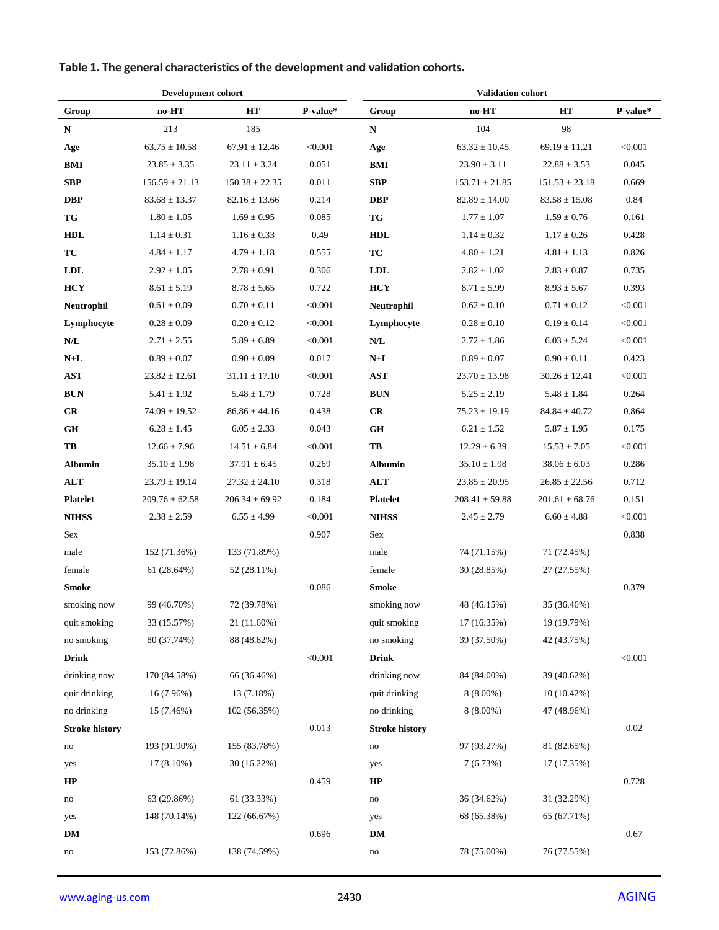|                        | Development cohort |                    |          |                         | <b>Validation cohort</b> |                    |          |
|------------------------|--------------------|--------------------|----------|-------------------------|--------------------------|--------------------|----------|
| Group                  | no-HT              | HT                 | P-value* | Group                   | $no-HT$                  | HT                 | P-value* |
| ${\bf N}$              | 213                | 185                |          | ${\bf N}$               | 104                      | 98                 |          |
| Age                    | $63.75 \pm 10.58$  | $67.91 \pm 12.46$  | < 0.001  | Age                     | $63.32 \pm 10.45$        | $69.19 \pm 11.21$  | < 0.001  |
| <b>BMI</b>             | $23.85 \pm 3.35$   | $23.11 \pm 3.24$   | 0.051    | BMI                     | $23.90 \pm 3.11$         | $22.88 \pm 3.53$   | 0.045    |
| <b>SBP</b>             | $156.59 \pm 21.13$ | $150.38 \pm 22.35$ | 0.011    | <b>SBP</b>              | $153.71 \pm 21.85$       | $151.53 \pm 23.18$ | 0.669    |
| $\bf DBP$              | $83.68 \pm 13.37$  | $82.16 \pm 13.66$  | 0.214    | <b>DBP</b>              | $82.89\pm14.00$          | $83.58 \pm 15.08$  | 0.84     |
| TG                     | $1.80\pm1.05$      | $1.69\pm0.95$      | 0.085    | ${\bf T} {\bf G}$       | $1.77 \pm 1.07$          | $1.59 \pm 0.76$    | 0.161    |
| <b>HDL</b>             | $1.14 \pm 0.31$    | $1.16 \pm 0.33$    | 0.49     | <b>HDL</b>              | $1.14 \pm 0.32$          | $1.17 \pm 0.26$    | 0.428    |
| TC                     | $4.84 \pm 1.17$    | $4.79 \pm 1.18$    | 0.555    | TC                      | $4.80 \pm 1.21$          | $4.81 \pm 1.13$    | 0.826    |
| <b>LDL</b>             | $2.92 \pm 1.05$    | $2.78 \pm 0.91$    | 0.306    | <b>LDL</b>              | $2.82 \pm 1.02$          | $2.83 \pm 0.87$    | 0.735    |
| <b>HCY</b>             | $8.61 \pm 5.19$    | $8.78 \pm 5.65$    | 0.722    | <b>HCY</b>              | $8.71 \pm 5.99$          | $8.93 \pm 5.67$    | 0.393    |
| Neutrophil             | $0.61 \pm 0.09$    | $0.70 \pm 0.11$    | < 0.001  | <b>Neutrophil</b>       | $0.62 \pm 0.10$          | $0.71 \pm 0.12$    | < 0.001  |
| Lymphocyte             | $0.28 \pm 0.09$    | $0.20 \pm 0.12$    | < 0.001  | Lymphocyte              | $0.28 \pm 0.10$          | $0.19 \pm 0.14$    | < 0.001  |
| N/L                    | $2.71 \pm 2.55$    | $5.89 \pm 6.89$    | < 0.001  | $\mathbf{N}/\mathbf{L}$ | $2.72 \pm 1.86$          | $6.03 \pm 5.24$    | < 0.001  |
| $\mathbf{N+L}$         | $0.89 \pm 0.07$    | $0.90 \pm 0.09$    | 0.017    | $N+L$                   | $0.89 \pm 0.07$          | $0.90 \pm 0.11$    | 0.423    |
| <b>AST</b>             | $23.82 \pm 12.61$  | $31.11\pm17.10$    | < 0.001  | <b>AST</b>              | $23.70 \pm 13.98$        | $30.26 \pm 12.41$  | < 0.001  |
| <b>BUN</b>             | $5.41 \pm 1.92$    | $5.48 \pm 1.79$    | 0.728    | <b>BUN</b>              | $5.25 \pm 2.19$          | $5.48 \pm 1.84$    | 0.264    |
| CR                     | $74.09 \pm 19.52$  | $86.86 \pm 44.16$  | 0.438    | CR                      | $75.23 \pm 19.19$        | $84.84 \pm 40.72$  | 0.864    |
| $\mathbf{G}\mathbf{H}$ | $6.28 \pm 1.45$    | $6.05 \pm 2.33$    | 0.043    | $\mathbf{G}\mathbf{H}$  | $6.21 \pm 1.52$          | $5.87 \pm 1.95$    | 0.175    |
| TB                     | $12.66 \pm 7.96$   | $14.51 \pm 6.84$   | < 0.001  | TB                      | $12.29 \pm 6.39$         | $15.53 \pm 7.05$   | < 0.001  |
| <b>Albumin</b>         | $35.10 \pm 1.98$   | $37.91 \pm 6.45$   | 0.269    | <b>Albumin</b>          | $35.10 \pm 1.98$         | $38.06 \pm 6.03$   | 0.286    |
| ALT                    | $23.79 \pm 19.14$  | $27.32 \pm 24.10$  | 0.318    | ALT                     | $23.85 \pm 20.95$        | $26.85 \pm 22.56$  | 0.712    |
| Platelet               | $209.76 \pm 62.58$ | $206.34 \pm 69.92$ | 0.184    | <b>Platelet</b>         | $208.41 \pm 59.88$       | $201.61 \pm 68.76$ | 0.151    |
| <b>NIHSS</b>           | $2.38 \pm 2.59$    | $6.55 \pm 4.99$    | < 0.001  | <b>NIHSS</b>            | $2.45 \pm 2.79$          | $6.60 \pm 4.88$    | < 0.001  |
| Sex                    |                    |                    | 0.907    | Sex                     |                          |                    | 0.838    |
| male                   | 152 (71.36%)       | 133 (71.89%)       |          | male                    | 74 (71.15%)              | 71 (72.45%)        |          |
| female                 | 61 (28.64%)        | 52 (28.11%)        |          | female                  | 30 (28.85%)              | 27 (27.55%)        |          |
| <b>Smoke</b>           |                    |                    | 0.086    | <b>Smoke</b>            |                          |                    | 0.379    |
| smoking now            | 99 (46.70%)        | 72 (39.78%)        |          | smoking now             | 48 (46.15%)              | 35 (36.46%)        |          |
| quit smoking           | 33 (15.57%)        | 21 (11.60%)        |          | quit smoking            | 17 (16.35%)              | 19 (19.79%)        |          |
| no smoking             | 80 (37.74%)        | 88 (48.62%)        |          | no smoking              | 39 (37.50%)              | 42 (43.75%)        |          |
| <b>Drink</b>           |                    |                    | < 0.001  | <b>Drink</b>            |                          |                    | < 0.001  |
| drinking now           | 170 (84.58%)       | 66 (36.46%)        |          | drinking now            | 84 (84.00%)              | 39 (40.62%)        |          |
| quit drinking          | 16 (7.96%)         | 13 (7.18%)         |          | quit drinking           | $8(8.00\%)$              | 10 (10.42%)        |          |
| no drinking            | 15 (7.46%)         | 102 (56.35%)       |          | no drinking             | $8(8.00\%)$              | 47 (48.96%)        |          |
| <b>Stroke history</b>  |                    |                    | 0.013    | <b>Stroke history</b>   |                          |                    | 0.02     |
| $\mathop{\mathrm{no}}$ | 193 (91.90%)       | 155 (83.78%)       |          | $\rm no$                | 97 (93.27%)              | 81 (82.65%)        |          |
| yes                    | $17(8.10\%)$       | 30 (16.22%)        |          | yes                     | 7(6.73%)                 | 17 (17.35%)        |          |
| HP                     |                    |                    | 0.459    | HP                      |                          |                    | 0.728    |
| no                     | 63 (29.86%)        | 61 (33.33%)        |          | $\mathop{\mathrm{no}}$  | 36 (34.62%)              | 31 (32.29%)        |          |
| yes                    | 148 (70.14%)       | 122 (66.67%)       |          | yes                     | 68 (65.38%)              | 65 (67.71%)        |          |
| $\mathbf{DM}$          |                    |                    | 0.696    | $\mathbf{DM}$           |                          |                    | 0.67     |
| $\mathop{\mathrm{no}}$ | 153 (72.86%)       | 138 (74.59%)       |          | $\rm no$                | 78 (75.00%)              | 76 (77.55%)        |          |

**Table 1. The general characteristics of the development and validation cohorts.**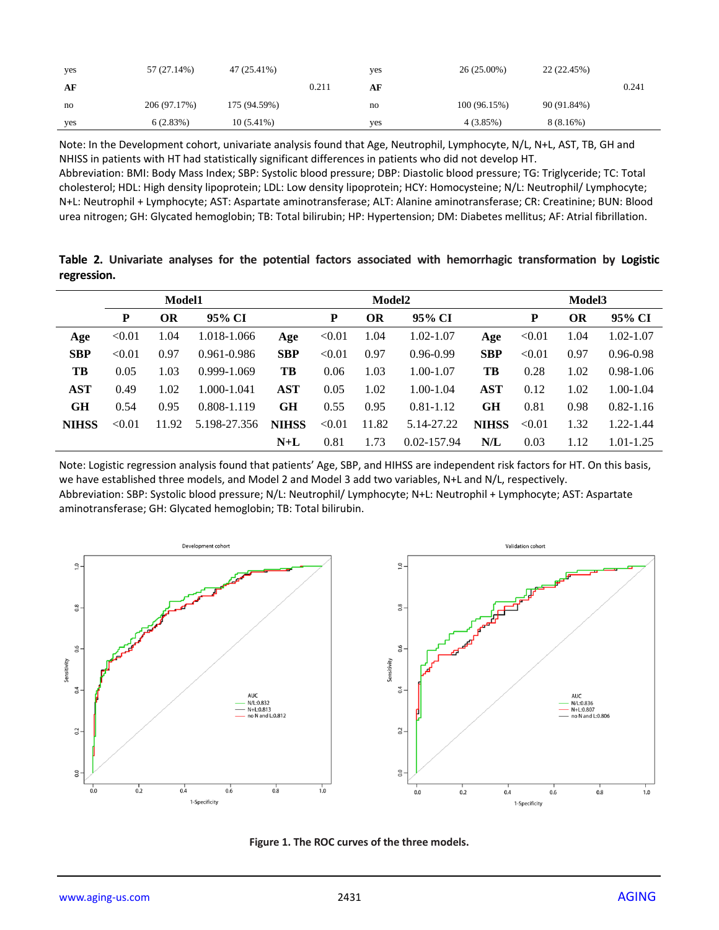| yes | 57 (27.14%)  | 47 (25.41%)  |       | yes | $26(25.00\%)$ | 22 (22.45%) |       |
|-----|--------------|--------------|-------|-----|---------------|-------------|-------|
| AF  |              |              | 0.211 | AF  |               |             | 0.241 |
| no  | 206 (97.17%) | 175 (94.59%) |       | no  | 100(96.15%)   | 90 (91.84%) |       |
| yes | 6(2.83%)     | $10(5.41\%)$ |       | yes | 4(3.85%)      | 8(8.16%)    |       |

Note: In the Development cohort, univariate analysis found that Age, Neutrophil, Lymphocyte, N/L, N+L, AST, TB, GH and NHISS in patients with HT had statistically significant differences in patients who did not develop HT.

Abbreviation: BMI: Body Mass Index; SBP: Systolic blood pressure; DBP: Diastolic blood pressure; TG: Triglyceride; TC: Total cholesterol; HDL: High density lipoprotein; LDL: Low density lipoprotein; HCY: Homocysteine; N/L: Neutrophil/ Lymphocyte; N+L: Neutrophil + Lymphocyte; AST: Aspartate aminotransferase; ALT: Alanine aminotransferase; CR: Creatinine; BUN: Blood urea nitrogen; GH: Glycated hemoglobin; TB: Total bilirubin; HP: Hypertension; DM: Diabetes mellitus; AF: Atrial fibrillation.

**Table 2. Univariate analyses for the potential factors associated with hemorrhagic transformation by Logistic regression.**

|              | Model1 |           |                 |              | Model2 |           |                 |              |        | Model <sub>3</sub> |               |  |  |  |
|--------------|--------|-----------|-----------------|--------------|--------|-----------|-----------------|--------------|--------|--------------------|---------------|--|--|--|
|              | P      | <b>OR</b> | 95% CI          |              | P      | <b>OR</b> | 95% CI          |              | P      | OR                 | 95% CI        |  |  |  |
| Age          | < 0.01 | 1.04      | 1.018-1.066     | Age          | < 0.01 | 1.04      | 1.02-1.07       | Age          | < 0.01 | 1.04               | 1.02-1.07     |  |  |  |
| <b>SBP</b>   | < 0.01 | 0.97      | $0.961 - 0.986$ | <b>SBP</b>   | < 0.01 | 0.97      | $0.96 - 0.99$   | <b>SBP</b>   | < 0.01 | 0.97               | $0.96 - 0.98$ |  |  |  |
| TB           | 0.05   | 1.03      | $0.999 - 1.069$ | TB           | 0.06   | 1.03      | $1.00 - 1.07$   | TB           | 0.28   | 1.02               | $0.98 - 1.06$ |  |  |  |
| <b>AST</b>   | 0.49   | 1.02      | 1.000-1.041     | AST          | 0.05   | 1.02      | $1.00 - 1.04$   | <b>AST</b>   | 0.12   | 1.02               | $1.00 - 1.04$ |  |  |  |
| <b>GH</b>    | 0.54   | 0.95      | 0.808-1.119     | GH           | 0.55   | 0.95      | $0.81 - 1.12$   | GН           | 0.81   | 0.98               | $0.82 - 1.16$ |  |  |  |
| <b>NIHSS</b> | < 0.01 | 11.92     | 5.198-27.356    | <b>NIHSS</b> | < 0.01 | 11.82     | 5.14-27.22      | <b>NIHSS</b> | < 0.01 | 1.32               | 1.22-1.44     |  |  |  |
|              |        |           |                 | $N+L$        | 0.81   | 1.73      | $0.02 - 157.94$ | N/L          | 0.03   | 1.12               | 1.01-1.25     |  |  |  |

Note: Logistic regression analysis found that patients' Age, SBP, and HIHSS are independent risk factors for HT. On this basis, we have established three models, and Model 2 and Model 3 add two variables, N+L and N/L, respectively. Abbreviation: SBP: Systolic blood pressure; N/L: Neutrophil/ Lymphocyte; N+L: Neutrophil + Lymphocyte; AST: Aspartate aminotransferase; GH: Glycated hemoglobin; TB: Total bilirubin.



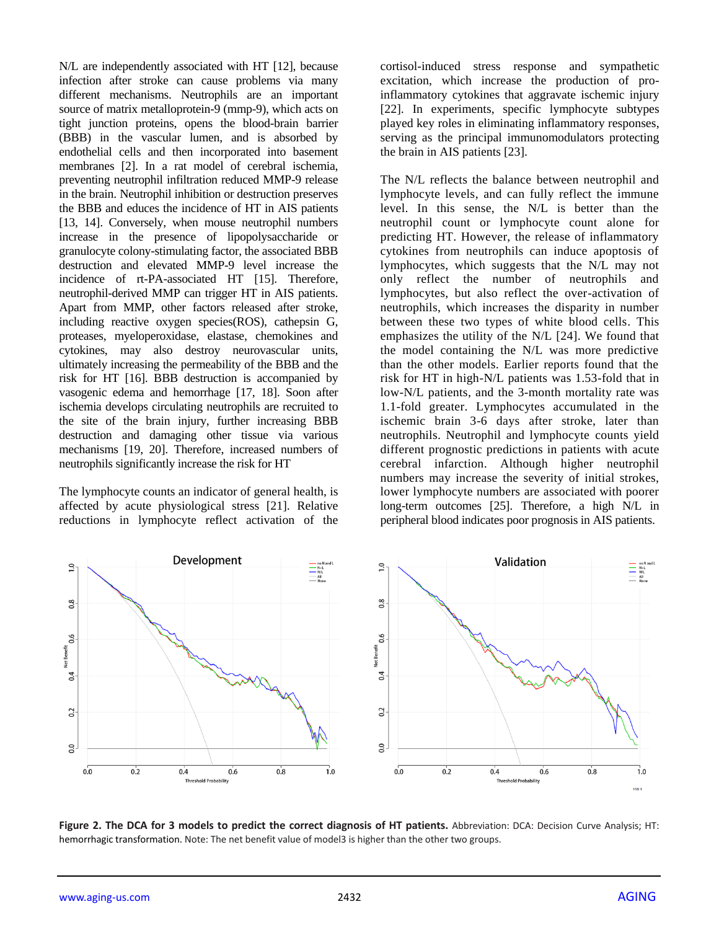N/L are independently associated with HT [12], because infection after stroke can cause problems via many different mechanisms. Neutrophils are an important source of matrix metalloprotein-9 (mmp-9), which acts on tight junction proteins, opens the blood-brain barrier (BBB) in the vascular lumen, and is absorbed by endothelial cells and then incorporated into basement membranes [2]. In a rat model of cerebral ischemia, preventing neutrophil infiltration reduced MMP-9 release in the brain. Neutrophil inhibition or destruction preserves the BBB and educes the incidence of HT in AIS patients [13, 14]. Conversely, when mouse neutrophil numbers increase in the presence of lipopolysaccharide or granulocyte colony-stimulating factor, the associated BBB destruction and elevated MMP-9 level increase the incidence of rt-PA-associated HT [15]. Therefore, neutrophil-derived MMP can trigger HT in AIS patients. Apart from MMP, other factors released after stroke, including reactive oxygen species(ROS), cathepsin G, proteases, myeloperoxidase, elastase, chemokines and cytokines, may also destroy neurovascular units, ultimately increasing the permeability of the BBB and the risk for HT [16]. BBB destruction is accompanied by vasogenic edema and hemorrhage [17, 18]. Soon after ischemia develops circulating neutrophils are recruited to the site of the brain injury, further increasing BBB destruction and damaging other tissue via various mechanisms [19, 20]. Therefore, increased numbers of neutrophils significantly increase the risk for HT

The lymphocyte counts an indicator of general health, is affected by acute physiological stress [21]. Relative reductions in lymphocyte reflect activation of the cortisol-induced stress response and sympathetic excitation, which increase the production of proinflammatory cytokines that aggravate ischemic injury [22]. In experiments, specific lymphocyte subtypes played key roles in eliminating inflammatory responses, serving as the principal immunomodulators protecting the brain in AIS patients [23].

The N/L reflects the balance between neutrophil and lymphocyte levels, and can fully reflect the immune level. In this sense, the N/L is better than the neutrophil count or lymphocyte count alone for predicting HT. However, the release of inflammatory cytokines from neutrophils can induce apoptosis of lymphocytes, which suggests that the N/L may not only reflect the number of neutrophils and lymphocytes, but also reflect the over-activation of neutrophils, which increases the disparity in number between these two types of white blood cells. This emphasizes the utility of the N/L [24]. We found that the model containing the N/L was more predictive than the other models. Earlier reports found that the risk for HT in high-N/L patients was 1.53-fold that in low-N/L patients, and the 3-month mortality rate was 1.1-fold greater. Lymphocytes accumulated in the ischemic brain 3-6 days after stroke, later than neutrophils. Neutrophil and lymphocyte counts yield different prognostic predictions in patients with acute cerebral infarction. Although higher neutrophil numbers may increase the severity of initial strokes, lower lymphocyte numbers are associated with poorer long-term outcomes [25]. Therefore, a high N/L in peripheral blood indicates poor prognosis in AIS patients.



**Figure 2. The DCA for 3 models to predict the correct diagnosis of HT patients.** Abbreviation: DCA: Decision Curve Analysis; HT: hemorrhagic transformation. Note: The net benefit value of model3 is higher than the other two groups.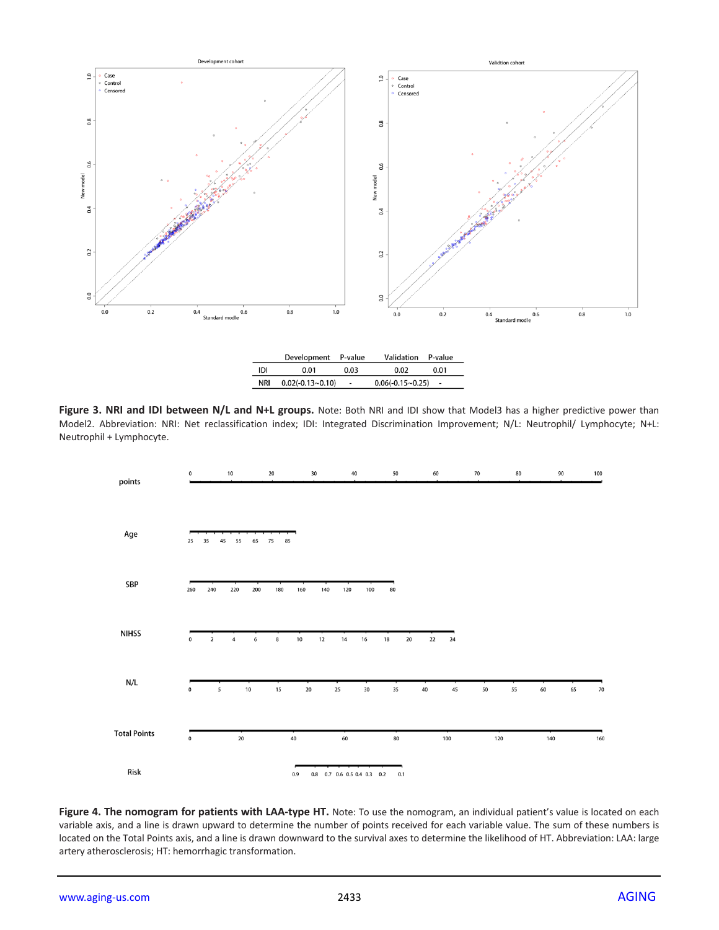

|                                                                                                                              |  |  | $0.06(-0.15\sim0.25)$ - |  |  |  |  |
|------------------------------------------------------------------------------------------------------------------------------|--|--|-------------------------|--|--|--|--|
|                                                                                                                              |  |  |                         |  |  |  |  |
| Figure 3. NRI and IDI between N/L and N+L groups. Note: Both NRI and IDI show that Model3 has a higher predictive power than |  |  |                         |  |  |  |  |

Model2. Abbreviation: NRI: Net reclassification index; IDI: Integrated Discrimination Improvement; N/L: Neutrophil/ Lymphocyte; N+L: Neutrophil + Lymphocyte.



Figure 4. The nomogram for patients with LAA-type HT. Note: To use the nomogram, an individual patient's value is located on each variable axis, and a line is drawn upward to determine the number of points received for each variable value. The sum of these numbers is located on the Total Points axis, and a line is drawn downward to the survival axes to determine the likelihood of HT. Abbreviation: LAA: large artery atherosclerosis; HT: hemorrhagic transformation.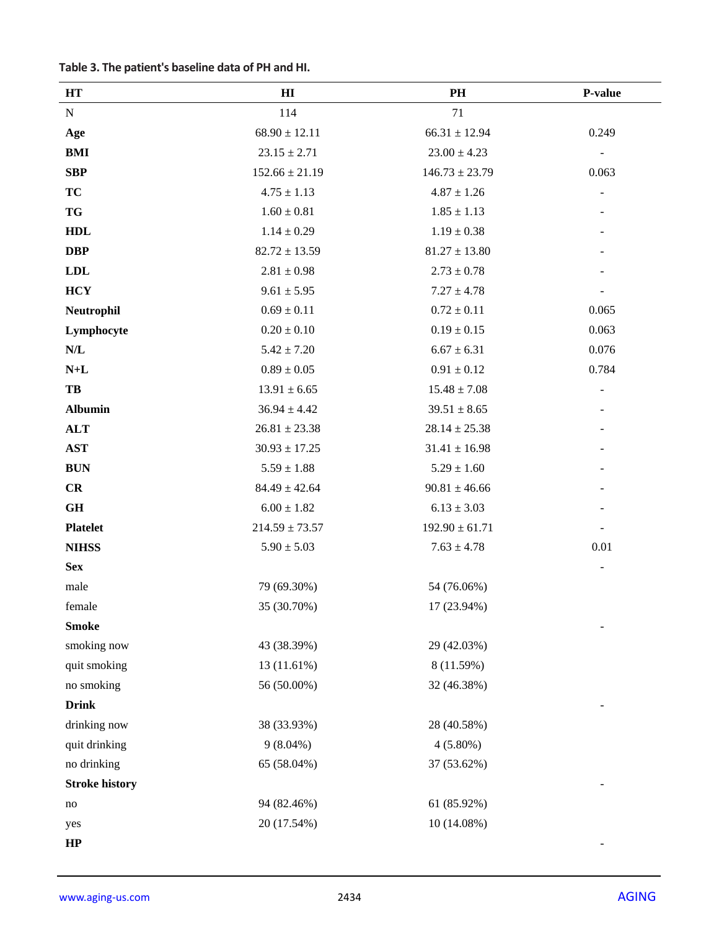|  |  |  | Table 3. The patient's baseline data of PH and HI. |  |  |  |  |
|--|--|--|----------------------------------------------------|--|--|--|--|
|--|--|--|----------------------------------------------------|--|--|--|--|

| HT                      | $\mathbf{H}$       | PH                 | P-value |
|-------------------------|--------------------|--------------------|---------|
| ${\bf N}$               | 114                | 71                 |         |
| Age                     | $68.90 \pm 12.11$  | $66.31 \pm 12.94$  | 0.249   |
| <b>BMI</b>              | $23.15 \pm 2.71$   | $23.00 \pm 4.23$   |         |
| <b>SBP</b>              | $152.66 \pm 21.19$ | $146.73 \pm 23.79$ | 0.063   |
| <b>TC</b>               | $4.75 \pm 1.13$    | $4.87 \pm 1.26$    |         |
| <b>TG</b>               | $1.60 \pm 0.81$    | $1.85 \pm 1.13$    |         |
| <b>HDL</b>              | $1.14 \pm 0.29$    | $1.19 \pm 0.38$    |         |
| <b>DBP</b>              | $82.72 \pm 13.59$  | $81.27 \pm 13.80$  |         |
| LDL                     | $2.81\pm0.98$      | $2.73 \pm 0.78$    |         |
| <b>HCY</b>              | $9.61 \pm 5.95$    | $7.27 \pm 4.78$    |         |
| Neutrophil              | $0.69 \pm 0.11$    | $0.72 \pm 0.11$    | 0.065   |
| Lymphocyte              | $0.20 \pm 0.10$    | $0.19 \pm 0.15$    | 0.063   |
| $\mathbf{N}/\mathbf{L}$ | $5.42 \pm 7.20$    | $6.67 \pm 6.31$    | 0.076   |
| $\mathbf{N+L}$          | $0.89\pm0.05$      | $0.91 \pm 0.12$    | 0.784   |
| TB                      | $13.91 \pm 6.65$   | $15.48 \pm 7.08$   |         |
| <b>Albumin</b>          | $36.94 \pm 4.42$   | $39.51 \pm 8.65$   |         |
| <b>ALT</b>              | $26.81 \pm 23.38$  | $28.14 \pm 25.38$  |         |
| <b>AST</b>              | $30.93 \pm 17.25$  | $31.41 \pm 16.98$  |         |
| <b>BUN</b>              | $5.59 \pm 1.88$    | $5.29 \pm 1.60$    |         |
| CR                      | $84.49 \pm 42.64$  | $90.81 \pm 46.66$  |         |
| GH                      | $6.00 \pm 1.82$    | $6.13 \pm 3.03$    |         |
| <b>Platelet</b>         | $214.59 \pm 73.57$ | $192.90 \pm 61.71$ |         |
| <b>NIHSS</b>            | $5.90 \pm 5.03$    | $7.63 \pm 4.78$    | 0.01    |
| <b>Sex</b>              |                    |                    |         |
| male                    | 79 (69.30%)        | 54 (76.06%)        |         |
| female                  | 35 (30.70%)        | 17 (23.94%)        |         |
| <b>Smoke</b>            |                    |                    |         |
| smoking now             | 43 (38.39%)        | 29 (42.03%)        |         |
| quit smoking            | 13 (11.61%)        | 8 (11.59%)         |         |
| no smoking              | 56 (50.00%)        | 32 (46.38%)        |         |
| <b>Drink</b>            |                    |                    |         |
| drinking now            | 38 (33.93%)        | 28 (40.58%)        |         |
| quit drinking           | $9(8.04\%)$        | $4(5.80\%)$        |         |
| no drinking             | 65 (58.04%)        | 37 (53.62%)        |         |
| <b>Stroke history</b>   |                    |                    |         |
| $\rm no$                | 94 (82.46%)        | 61 (85.92%)        |         |
| yes                     | 20 (17.54%)        | 10 (14.08%)        |         |
| HP                      |                    |                    |         |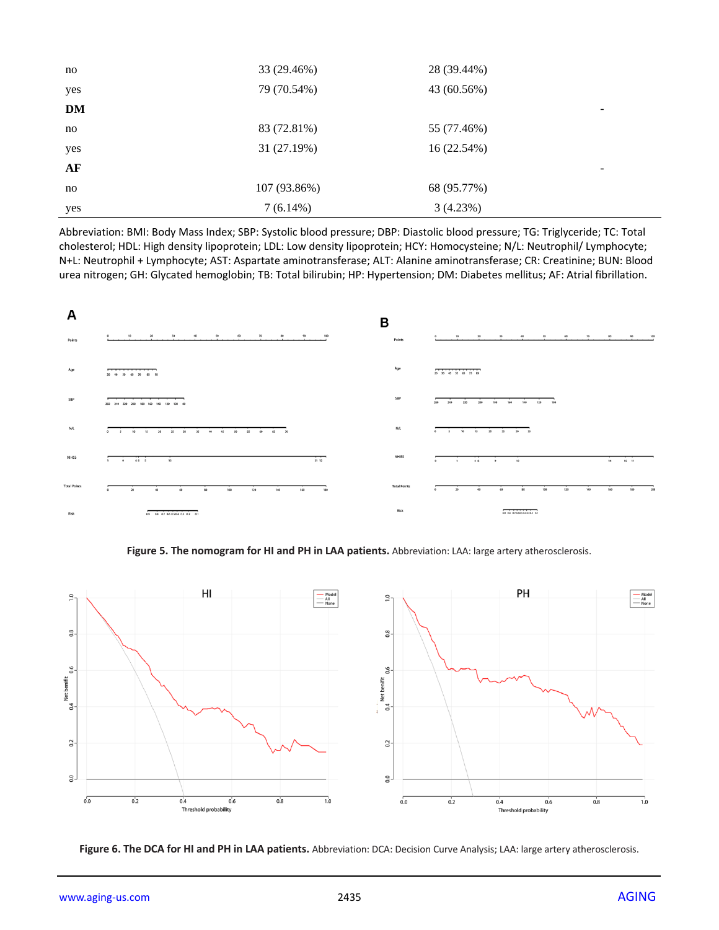| no  | 33 (29.46%)  | 28 (39.44%)              |
|-----|--------------|--------------------------|
| yes | 79 (70.54%)  | 43 (60.56%)              |
| DM  |              | $\overline{\phantom{0}}$ |
| no  | 83 (72.81%)  | 55 (77.46%)              |
| yes | 31 (27.19%)  | 16 (22.54%)              |
| AF  |              | $\overline{\phantom{a}}$ |
| no  | 107 (93.86%) | 68 (95.77%)              |
| yes | $7(6.14\%)$  | 3(4.23%)                 |

Abbreviation: BMI: Body Mass Index; SBP: Systolic blood pressure; DBP: Diastolic blood pressure; TG: Triglyceride; TC: Total cholesterol; HDL: High density lipoprotein; LDL: Low density lipoprotein; HCY: Homocysteine; N/L: Neutrophil/ Lymphocyte; N+L: Neutrophil + Lymphocyte; AST: Aspartate aminotransferase; ALT: Alanine aminotransferase; CR: Creatinine; BUN: Blood urea nitrogen; GH: Glycated hemoglobin; TB: Total bilirubin; HP: Hypertension; DM: Diabetes mellitus; AF: Atrial fibrillation.



**Figure 5. The nomogram for HI and PH in LAA patients.** Abbreviation: LAA: large artery atherosclerosis.



**Figure 6. The DCA for HI and PH in LAA patients.** Abbreviation: DCA: Decision Curve Analysis; LAA: large artery atherosclerosis.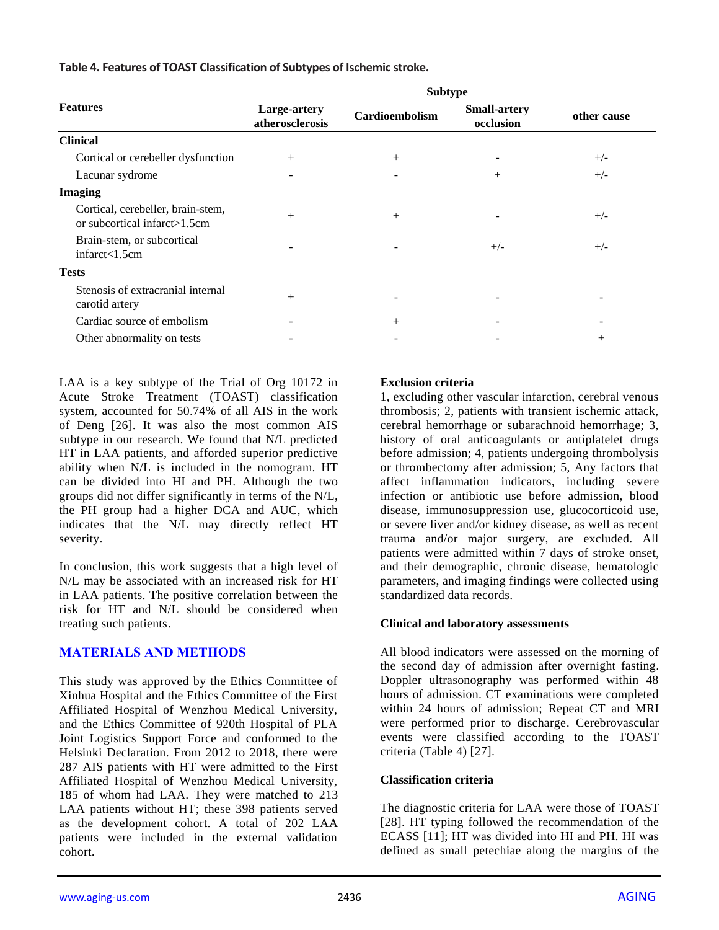**Table 4. Features of TOAST Classification of Subtypes of Ischemic stroke.**

|                                                                   | <b>Subtype</b>                  |                       |                                  |             |  |  |  |  |
|-------------------------------------------------------------------|---------------------------------|-----------------------|----------------------------------|-------------|--|--|--|--|
| <b>Features</b>                                                   | Large-artery<br>atherosclerosis | <b>Cardioembolism</b> | <b>Small-artery</b><br>occlusion | other cause |  |  |  |  |
| <b>Clinical</b>                                                   |                                 |                       |                                  |             |  |  |  |  |
| Cortical or cerebeller dysfunction                                | $^{+}$                          | $^{+}$                |                                  | $+/-$       |  |  |  |  |
| Lacunar sydrome                                                   | $\overline{\phantom{0}}$        |                       | $+$                              | $+/-$       |  |  |  |  |
| <b>Imaging</b>                                                    |                                 |                       |                                  |             |  |  |  |  |
| Cortical, cerebeller, brain-stem,<br>or subcortical infarct>1.5cm | $^{+}$                          | $^{+}$                |                                  | $+/-$       |  |  |  |  |
| Brain-stem, or subcortical<br>infrared<1.5cm                      |                                 |                       | $+/-$                            | $+/-$       |  |  |  |  |
| <b>Tests</b>                                                      |                                 |                       |                                  |             |  |  |  |  |
| Stenosis of extracranial internal<br>carotid artery               | $+$                             |                       |                                  |             |  |  |  |  |
| Cardiac source of embolism                                        |                                 | $+$                   |                                  |             |  |  |  |  |
| Other abnormality on tests                                        |                                 |                       |                                  | $^{+}$      |  |  |  |  |

LAA is a key subtype of the Trial of Org 10172 in Acute Stroke Treatment (TOAST) classification system, accounted for 50.74% of all AIS in the work of Deng [26]. It was also the most common AIS subtype in our research. We found that N/L predicted HT in LAA patients, and afforded superior predictive ability when N/L is included in the nomogram. HT can be divided into HI and PH. Although the two groups did not differ significantly in terms of the N/L, the PH group had a higher DCA and AUC, which indicates that the N/L may directly reflect HT severity.

In conclusion, this work suggests that a high level of N/L may be associated with an increased risk for HT in LAA patients. The positive correlation between the risk for HT and N/L should be considered when treating such patients.

# **MATERIALS AND METHODS**

This study was approved by the Ethics Committee of Xinhua Hospital and the Ethics Committee of the First Affiliated Hospital of Wenzhou Medical University, and the Ethics Committee of 920th Hospital of PLA Joint Logistics Support Force and conformed to the Helsinki Declaration. From 2012 to 2018, there were 287 AIS patients with HT were admitted to the First Affiliated Hospital of Wenzhou Medical University, 185 of whom had LAA. They were matched to 213 LAA patients without HT; these 398 patients served as the development cohort. A total of 202 LAA patients were included in the external validation cohort.

#### **Exclusion criteria**

1, excluding other vascular infarction, cerebral venous thrombosis; 2, patients with transient ischemic attack, cerebral hemorrhage or subarachnoid hemorrhage; 3, history of oral anticoagulants or antiplatelet drugs before admission; 4, patients undergoing thrombolysis or thrombectomy after admission; 5, Any factors that affect inflammation indicators, including severe infection or antibiotic use before admission, blood disease, immunosuppression use, glucocorticoid use, or severe liver and/or kidney disease, as well as recent trauma and/or major surgery, are excluded. All patients were admitted within 7 days of stroke onset, and their demographic, chronic disease, hematologic parameters, and imaging findings were collected using standardized data records.

#### **Clinical and laboratory assessments**

All blood indicators were assessed on the morning of the second day of admission after overnight fasting. Doppler ultrasonography was performed within 48 hours of admission. CT examinations were completed within 24 hours of admission; Repeat CT and MRI were performed prior to discharge. Cerebrovascular events were classified according to the TOAST criteria (Table 4) [27].

## **Classification criteria**

The diagnostic criteria for LAA were those of TOAST [28]. HT typing followed the recommendation of the ECASS [11]; HT was divided into HI and PH. HI was defined as small petechiae along the margins of the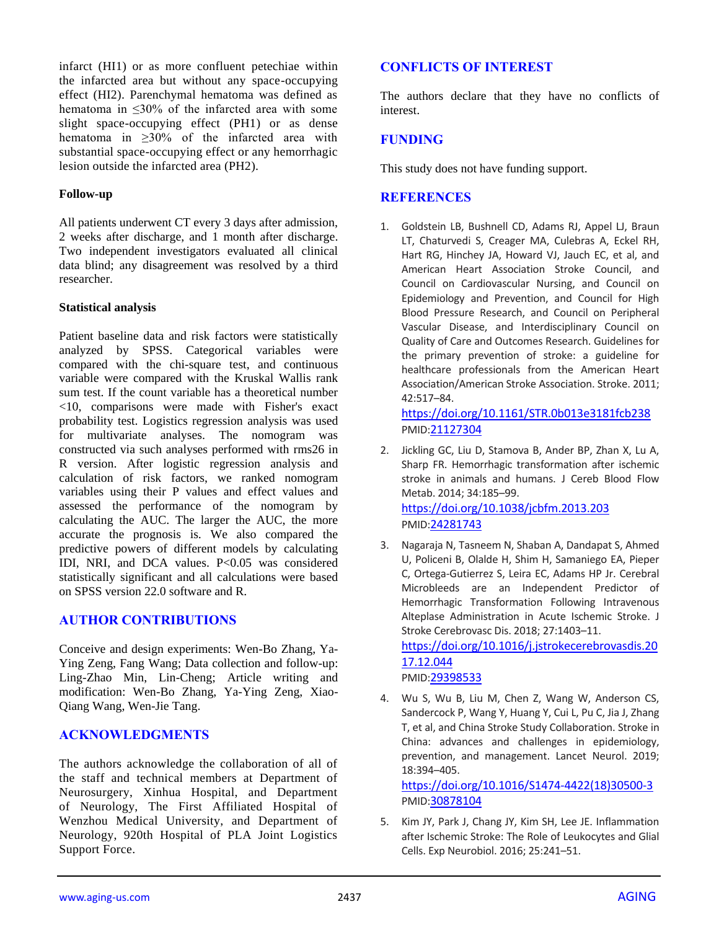infarct (HI1) or as more confluent petechiae within the infarcted area but without any space-occupying effect (HI2). Parenchymal hematoma was defined as hematoma in ≤30% of the infarcted area with some slight space-occupying effect (PH1) or as dense hematoma in ≥30% of the infarcted area with substantial space-occupying effect or any hemorrhagic lesion outside the infarcted area (PH2).

#### **Follow-up**

All patients underwent CT every 3 days after admission, 2 weeks after discharge, and 1 month after discharge. Two independent investigators evaluated all clinical data blind; any disagreement was resolved by a third researcher.

#### **Statistical analysis**

Patient baseline data and risk factors were statistically analyzed by SPSS. Categorical variables were compared with the chi-square test, and continuous variable were compared with the Kruskal Wallis rank sum test. If the count variable has a theoretical number <10, comparisons were made with Fisher's exact probability test. Logistics regression analysis was used for multivariate analyses. The nomogram was constructed via such analyses performed with rms26 in R version. After logistic regression analysis and calculation of risk factors, we ranked nomogram variables using their P values and effect values and assessed the performance of the nomogram by calculating the AUC. The larger the AUC, the more accurate the prognosis is. We also compared the predictive powers of different models by calculating IDI, NRI, and DCA values. P<0.05 was considered statistically significant and all calculations were based on SPSS version 22.0 software and R.

## **AUTHOR CONTRIBUTIONS**

Conceive and design experiments: Wen-Bo Zhang, Ya-Ying Zeng, Fang Wang; Data collection and follow-up: Ling-Zhao Min, Lin-Cheng; Article writing and modification: Wen-Bo Zhang, Ya-Ying Zeng, Xiao-Qiang Wang, Wen-Jie Tang.

## **ACKNOWLEDGMENTS**

The authors acknowledge the collaboration of all of the staff and technical members at Department of Neurosurgery, Xinhua Hospital, and Department of Neurology, The First Affiliated Hospital of Wenzhou Medical University, and Department of Neurology, 920th Hospital of PLA Joint Logistics Support Force.

# **CONFLICTS OF INTEREST**

The authors declare that they have no conflicts of interest.

# **FUNDING**

This study does not have funding support.

## **REFERENCES**

1. Goldstein LB, Bushnell CD, Adams RJ, Appel LJ, Braun LT, Chaturvedi S, Creager MA, Culebras A, Eckel RH, Hart RG, Hinchey JA, Howard VJ, Jauch EC, et al, and American Heart Association Stroke Council, and Council on Cardiovascular Nursing, and Council on Epidemiology and Prevention, and Council for High Blood Pressure Research, and Council on Peripheral Vascular Disease, and Interdisciplinary Council on Quality of Care and Outcomes Research. Guidelines for the primary prevention of stroke: a guideline for healthcare professionals from the American Heart Association/American Stroke Association. Stroke. 2011; 42:517–84.

<https://doi.org/10.1161/STR.0b013e3181fcb238> PMID:[21127304](https://www.ncbi.nlm.nih.gov/pubmed/21127304)

2. Jickling GC, Liu D, Stamova B, Ander BP, Zhan X, Lu A, Sharp FR. Hemorrhagic transformation after ischemic stroke in animals and humans. J Cereb Blood Flow Metab. 2014; 34:185–99.

<https://doi.org/10.1038/jcbfm.2013.203> PMID:[24281743](https://www.ncbi.nlm.nih.gov/pubmed/24281743)

3. Nagaraja N, Tasneem N, Shaban A, Dandapat S, Ahmed U, Policeni B, Olalde H, Shim H, Samaniego EA, Pieper C, Ortega-Gutierrez S, Leira EC, Adams HP Jr. Cerebral Microbleeds are an Independent Predictor of Hemorrhagic Transformation Following Intravenous Alteplase Administration in Acute Ischemic Stroke. J Stroke Cerebrovasc Dis. 2018; 27:1403–11.

[https://doi.org/10.1016/j.jstrokecerebrovasdis.20](https://doi.org/10.1016/j.jstrokecerebrovasdis.2017.12.044) [17.12.044](https://doi.org/10.1016/j.jstrokecerebrovasdis.2017.12.044) PMID:[29398533](https://www.ncbi.nlm.nih.gov/pubmed/29398533)

4. Wu S, Wu B, Liu M, Chen Z, Wang W, Anderson CS, Sandercock P, Wang Y, Huang Y, Cui L, Pu C, Jia J, Zhang T, et al, and China Stroke Study Collaboration. Stroke in China: advances and challenges in epidemiology, prevention, and management. Lancet Neurol. 2019; 18:394–405.

[https://doi.org/10.1016/S1474-4422\(18\)30500-3](https://doi.org/10.1016/S1474-4422%2818%2930500-3) PMID:[30878104](https://www.ncbi.nlm.nih.gov/pubmed/30878104)

5. Kim JY, Park J, Chang JY, Kim SH, Lee JE. Inflammation after Ischemic Stroke: The Role of Leukocytes and Glial Cells. Exp Neurobiol. 2016; 25:241–51.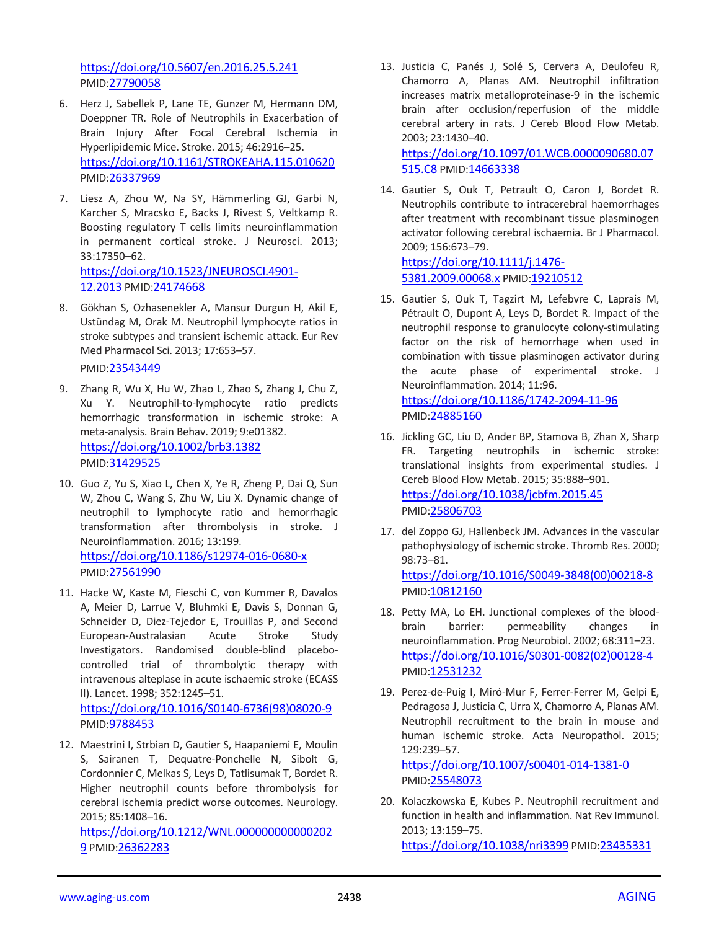<https://doi.org/10.5607/en.2016.25.5.241> PMID:[27790058](https://www.ncbi.nlm.nih.gov/pubmed/27790058)

- 6. Herz J, Sabellek P, Lane TE, Gunzer M, Hermann DM, Doeppner TR. Role of Neutrophils in Exacerbation of Brain Injury After Focal Cerebral Ischemia in Hyperlipidemic Mice. Stroke. 2015; 46:2916–25. <https://doi.org/10.1161/STROKEAHA.115.010620> PMID:[26337969](https://www.ncbi.nlm.nih.gov/pubmed/26337969)
- 7. Liesz A, Zhou W, Na SY, Hämmerling GJ, Garbi N, Karcher S, Mracsko E, Backs J, Rivest S, Veltkamp R. Boosting regulatory T cells limits neuroinflammation in permanent cortical stroke. J Neurosci. 2013; 33:17350–62. [https://doi.org/10.1523/JNEUROSCI.4901-](https://doi.org/10.1523/JNEUROSCI.4901-12.2013) [12.2013](https://doi.org/10.1523/JNEUROSCI.4901-12.2013) PMID:[24174668](https://www.ncbi.nlm.nih.gov/pubmed/24174668)
- 8. Gökhan S, Ozhasenekler A, Mansur Durgun H, Akil E, Ustündag M, Orak M. Neutrophil lymphocyte ratios in stroke subtypes and transient ischemic attack. Eur Rev Med Pharmacol Sci. 2013; 17:653–57. PMID:[23543449](https://www.ncbi.nlm.nih.gov/pubmed/23543449)
- 9. Zhang R, Wu X, Hu W, Zhao L, Zhao S, Zhang J, Chu Z, Xu Y. Neutrophil-to-lymphocyte ratio predicts hemorrhagic transformation in ischemic stroke: A meta-analysis. Brain Behav. 2019; 9:e01382. <https://doi.org/10.1002/brb3.1382> PMID:[31429525](https://www.ncbi.nlm.nih.gov/pubmed/31429525)
- 10. Guo Z, Yu S, Xiao L, Chen X, Ye R, Zheng P, Dai Q, Sun W, Zhou C, Wang S, Zhu W, Liu X. Dynamic change of neutrophil to lymphocyte ratio and hemorrhagic transformation after thrombolysis in stroke. J Neuroinflammation. 2016; 13:199. <https://doi.org/10.1186/s12974-016-0680-x> PMID:[27561990](https://www.ncbi.nlm.nih.gov/pubmed/27561990)
- 11. Hacke W, Kaste M, Fieschi C, von Kummer R, Davalos A, Meier D, Larrue V, Bluhmki E, Davis S, Donnan G, Schneider D, Diez-Tejedor E, Trouillas P, and Second European-Australasian Acute Stroke Study Investigators. Randomised double-blind placebocontrolled trial of thrombolytic therapy with intravenous alteplase in acute ischaemic stroke (ECASS II). Lancet. 1998; 352:1245–51.

[https://doi.org/10.1016/S0140-6736\(98\)08020-9](https://doi.org/10.1016/S0140-6736%2898%2908020-9) PMID:[9788453](https://www.ncbi.nlm.nih.gov/pubmed/9788453)

12. Maestrini I, Strbian D, Gautier S, Haapaniemi E, Moulin S, Sairanen T, Dequatre-Ponchelle N, Sibolt G, Cordonnier C, Melkas S, Leys D, Tatlisumak T, Bordet R. Higher neutrophil counts before thrombolysis for cerebral ischemia predict worse outcomes. Neurology. 2015; 85:1408–16.

[https://doi.org/10.1212/WNL.000000000000202](https://doi.org/10.1212/WNL.0000000000002029) [9](https://doi.org/10.1212/WNL.0000000000002029) PMID:[26362283](https://www.ncbi.nlm.nih.gov/pubmed/26362283)

13. Justicia C, Panés J, Solé S, Cervera A, Deulofeu R, Chamorro A, Planas AM. Neutrophil infiltration increases matrix metalloproteinase-9 in the ischemic brain after occlusion/reperfusion of the middle cerebral artery in rats. J Cereb Blood Flow Metab. 2003; 23:1430–40. [https://doi.org/10.1097/01.WCB.0000090680.07](https://doi.org/10.1097/01.WCB.0000090680.07515.C8)

[515.C8](https://doi.org/10.1097/01.WCB.0000090680.07515.C8) PMID:[14663338](https://www.ncbi.nlm.nih.gov/pubmed/14663338)

14. Gautier S, Ouk T, Petrault O, Caron J, Bordet R. Neutrophils contribute to intracerebral haemorrhages after treatment with recombinant tissue plasminogen activator following cerebral ischaemia. Br J Pharmacol. 2009; 156:673–79.

[https://doi.org/10.1111/j.1476-](https://doi.org/10.1111/j.1476-5381.2009.00068.x) [5381.2009.00068.x](https://doi.org/10.1111/j.1476-5381.2009.00068.x) PMID:[19210512](https://www.ncbi.nlm.nih.gov/pubmed/19210512)

- 15. Gautier S, Ouk T, Tagzirt M, Lefebvre C, Laprais M, Pétrault O, Dupont A, Leys D, Bordet R. Impact of the neutrophil response to granulocyte colony-stimulating factor on the risk of hemorrhage when used in combination with tissue plasminogen activator during the acute phase of experimental stroke. J Neuroinflammation. 2014; 11:96. <https://doi.org/10.1186/1742-2094-11-96> PMID:[24885160](https://www.ncbi.nlm.nih.gov/pubmed/24885160)
- 16. Jickling GC, Liu D, Ander BP, Stamova B, Zhan X, Sharp FR. Targeting neutrophils in ischemic stroke: translational insights from experimental studies. J Cereb Blood Flow Metab. 2015; 35:888–901. <https://doi.org/10.1038/jcbfm.2015.45> PMID:[25806703](https://www.ncbi.nlm.nih.gov/pubmed/25806703)
- 17. del Zoppo GJ, Hallenbeck JM. Advances in the vascular pathophysiology of ischemic stroke. Thromb Res. 2000; 98:73–81. [https://doi.org/10.1016/S0049-3848\(00\)00218-8](https://doi.org/10.1016/S0049-3848%2800%2900218-8) PMID:[10812160](https://www.ncbi.nlm.nih.gov/pubmed/10812160)
- 18. Petty MA, Lo EH. Junctional complexes of the bloodbrain barrier: permeability changes in neuroinflammation. Prog Neurobiol. 2002; 68:311–23. [https://doi.org/10.1016/S0301-0082\(02\)00128-4](https://doi.org/10.1016/S0301-0082%2802%2900128-4) PMID:[12531232](https://www.ncbi.nlm.nih.gov/pubmed/12531232)
- 19. Perez-de-Puig I, Miró-Mur F, Ferrer-Ferrer M, Gelpi E, Pedragosa J, Justicia C, Urra X, Chamorro A, Planas AM. Neutrophil recruitment to the brain in mouse and human ischemic stroke. Acta Neuropathol. 2015; 129:239–57. <https://doi.org/10.1007/s00401-014-1381-0>

PMID:[25548073](https://www.ncbi.nlm.nih.gov/pubmed/25548073)

20. Kolaczkowska E, Kubes P. Neutrophil recruitment and function in health and inflammation. Nat Rev Immunol. 2013; 13:159–75. <https://doi.org/10.1038/nri3399> PMID:[23435331](https://www.ncbi.nlm.nih.gov/pubmed/23435331)